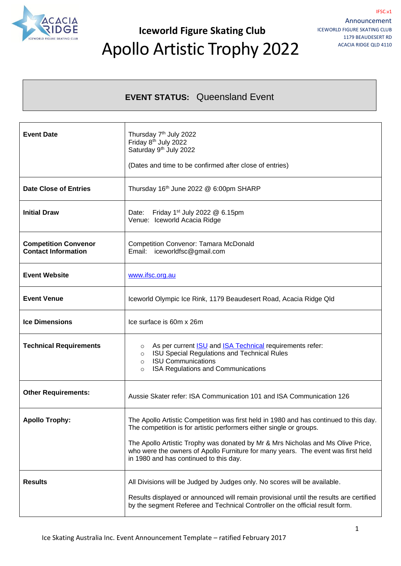

### **Iceworld Figure Skating Club** Apollo Artistic Trophy 2022

### **EVENT STATUS:** Queensland Event

| <b>Event Date</b>                                         | Thursday 7 <sup>th</sup> July 2022<br>Friday 8 <sup>th</sup> July 2022<br>Saturday 9 <sup>th</sup> July 2022<br>(Dates and time to be confirmed after close of entries)                                                                                                                                                                                                       |  |
|-----------------------------------------------------------|-------------------------------------------------------------------------------------------------------------------------------------------------------------------------------------------------------------------------------------------------------------------------------------------------------------------------------------------------------------------------------|--|
| <b>Date Close of Entries</b>                              | Thursday 16 <sup>th</sup> June 2022 @ 6:00pm SHARP                                                                                                                                                                                                                                                                                                                            |  |
| <b>Initial Draw</b>                                       | Friday 1 <sup>st</sup> July 2022 $@$ 6.15pm<br>Date:<br>Venue: Iceworld Acacia Ridge                                                                                                                                                                                                                                                                                          |  |
| <b>Competition Convenor</b><br><b>Contact Information</b> | <b>Competition Convenor: Tamara McDonald</b><br>Email: iceworldfsc@gmail.com                                                                                                                                                                                                                                                                                                  |  |
| <b>Event Website</b>                                      | www.ifsc.org.au                                                                                                                                                                                                                                                                                                                                                               |  |
| <b>Event Venue</b>                                        | Iceworld Olympic Ice Rink, 1179 Beaudesert Road, Acacia Ridge QId                                                                                                                                                                                                                                                                                                             |  |
| <b>Ice Dimensions</b>                                     | Ice surface is 60m x 26m                                                                                                                                                                                                                                                                                                                                                      |  |
| <b>Technical Requirements</b>                             | As per current <b>ISU</b> and <b>ISA Technical</b> requirements refer:<br>$\circ$<br>ISU Special Regulations and Technical Rules<br>$\circ$<br><b>ISU Communications</b><br>$\circ$<br>ISA Regulations and Communications<br>$\circ$                                                                                                                                          |  |
| <b>Other Requirements:</b>                                | Aussie Skater refer: ISA Communication 101 and ISA Communication 126                                                                                                                                                                                                                                                                                                          |  |
| <b>Apollo Trophy:</b>                                     | The Apollo Artistic Competition was first held in 1980 and has continued to this day.<br>The competition is for artistic performers either single or groups.<br>The Apollo Artistic Trophy was donated by Mr & Mrs Nicholas and Ms Olive Price,<br>who were the owners of Apollo Furniture for many years. The event was first held<br>in 1980 and has continued to this day. |  |
| <b>Results</b>                                            | All Divisions will be Judged by Judges only. No scores will be available.<br>Results displayed or announced will remain provisional until the results are certified<br>by the segment Referee and Technical Controller on the official result form.                                                                                                                           |  |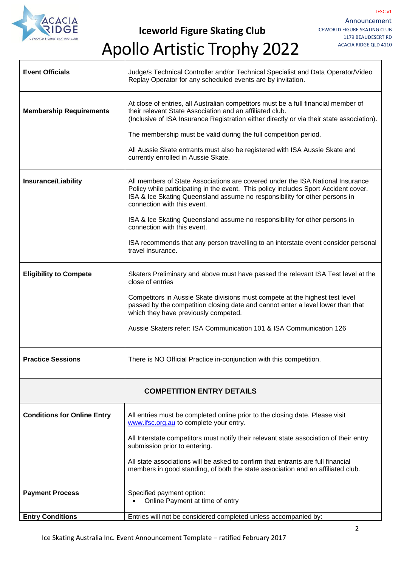

Apollo Artistic Trophy 2022

| <b>Event Officials</b>             | Judge/s Technical Controller and/or Technical Specialist and Data Operator/Video<br>Replay Operator for any scheduled events are by invitation.                                                                                                                                                                                                                                                                                                                                                            |  |
|------------------------------------|------------------------------------------------------------------------------------------------------------------------------------------------------------------------------------------------------------------------------------------------------------------------------------------------------------------------------------------------------------------------------------------------------------------------------------------------------------------------------------------------------------|--|
| <b>Membership Requirements</b>     | At close of entries, all Australian competitors must be a full financial member of<br>their relevant State Association and an affiliated club.<br>(Inclusive of ISA Insurance Registration either directly or via their state association).<br>The membership must be valid during the full competition period.<br>All Aussie Skate entrants must also be registered with ISA Aussie Skate and<br>currently enrolled in Aussie Skate.                                                                      |  |
| <b>Insurance/Liability</b>         | All members of State Associations are covered under the ISA National Insurance<br>Policy while participating in the event. This policy includes Sport Accident cover.<br>ISA & Ice Skating Queensland assume no responsibility for other persons in<br>connection with this event.<br>ISA & Ice Skating Queensland assume no responsibility for other persons in<br>connection with this event.<br>ISA recommends that any person travelling to an interstate event consider personal<br>travel insurance. |  |
| <b>Eligibility to Compete</b>      | Skaters Preliminary and above must have passed the relevant ISA Test level at the<br>close of entries<br>Competitors in Aussie Skate divisions must compete at the highest test level<br>passed by the competition closing date and cannot enter a level lower than that<br>which they have previously competed.<br>Aussie Skaters refer: ISA Communication 101 & ISA Communication 126                                                                                                                    |  |
| <b>Practice Sessions</b>           | There is NO Official Practice in-conjunction with this competition                                                                                                                                                                                                                                                                                                                                                                                                                                         |  |
| <b>COMPETITION ENTRY DETAILS</b>   |                                                                                                                                                                                                                                                                                                                                                                                                                                                                                                            |  |
| <b>Conditions for Online Entry</b> | All entries must be completed online prior to the closing date. Please visit<br>www.ifsc.org.au to complete your entry.<br>All Interstate competitors must notify their relevant state association of their entry<br>submission prior to entering.<br>All state associations will be asked to confirm that entrants are full financial<br>members in good standing, of both the state association and an affiliated club.                                                                                  |  |
| <b>Payment Process</b>             | Specified payment option:<br>Online Payment at time of entry                                                                                                                                                                                                                                                                                                                                                                                                                                               |  |
| <b>Entry Conditions</b>            | Entries will not be considered completed unless accompanied by:                                                                                                                                                                                                                                                                                                                                                                                                                                            |  |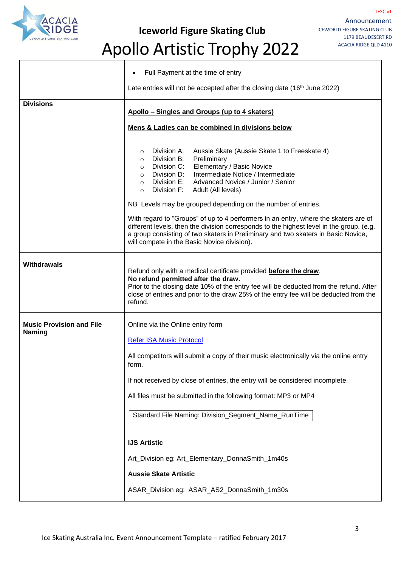

**Iceworld Figure Skating Club**

IFSC.v1

# Apollo Artistic Trophy 2022

|                                                  | Full Payment at the time of entry                                                                                                                                                                                                                                                                                                                                                                                                                                                                                                                                                                                                                                                                                                   |  |
|--------------------------------------------------|-------------------------------------------------------------------------------------------------------------------------------------------------------------------------------------------------------------------------------------------------------------------------------------------------------------------------------------------------------------------------------------------------------------------------------------------------------------------------------------------------------------------------------------------------------------------------------------------------------------------------------------------------------------------------------------------------------------------------------------|--|
|                                                  | Late entries will not be accepted after the closing date $(16th$ June 2022)                                                                                                                                                                                                                                                                                                                                                                                                                                                                                                                                                                                                                                                         |  |
| <b>Divisions</b>                                 | Apollo - Singles and Groups (up to 4 skaters)                                                                                                                                                                                                                                                                                                                                                                                                                                                                                                                                                                                                                                                                                       |  |
|                                                  | Mens & Ladies can be combined in divisions below                                                                                                                                                                                                                                                                                                                                                                                                                                                                                                                                                                                                                                                                                    |  |
|                                                  | Division A:<br>Aussie Skate (Aussie Skate 1 to Freeskate 4)<br>O<br>Division B:<br>Preliminary<br>$\circ$<br>Elementary / Basic Novice<br>Division C:<br>$\circ$<br>Intermediate Notice / Intermediate<br>Division D:<br>$\circ$<br>$\circ$ Division E:<br>Advanced Novice / Junior / Senior<br>Division F:<br>Adult (All levels)<br>$\circ$<br>NB Levels may be grouped depending on the number of entries.<br>With regard to "Groups" of up to 4 performers in an entry, where the skaters are of<br>different levels, then the division corresponds to the highest level in the group. (e.g.<br>a group consisting of two skaters in Preliminary and two skaters in Basic Novice,<br>will compete in the Basic Novice division). |  |
| <b>Withdrawals</b>                               | Refund only with a medical certificate provided before the draw.<br>No refund permitted after the draw.<br>Prior to the closing date 10% of the entry fee will be deducted from the refund. After<br>close of entries and prior to the draw 25% of the entry fee will be deducted from the<br>refund.                                                                                                                                                                                                                                                                                                                                                                                                                               |  |
| <b>Music Provision and File</b><br><b>Naming</b> | Online via the Online entry form<br><b>Refer ISA Music Protocol</b><br>All competitors will submit a copy of their music electronically via the online entry<br>TOrm.<br>If not received by close of entries, the entry will be considered incomplete.<br>All files must be submitted in the following format: MP3 or MP4<br>Standard File Naming: Division_Segment_Name_RunTime<br><b>IJS Artistic</b><br>Art_Division eg: Art_Elementary_DonnaSmith_1m40s<br><b>Aussie Skate Artistic</b>                                                                                                                                                                                                                                         |  |
|                                                  | ASAR_Division eg: ASAR_AS2_DonnaSmith_1m30s                                                                                                                                                                                                                                                                                                                                                                                                                                                                                                                                                                                                                                                                                         |  |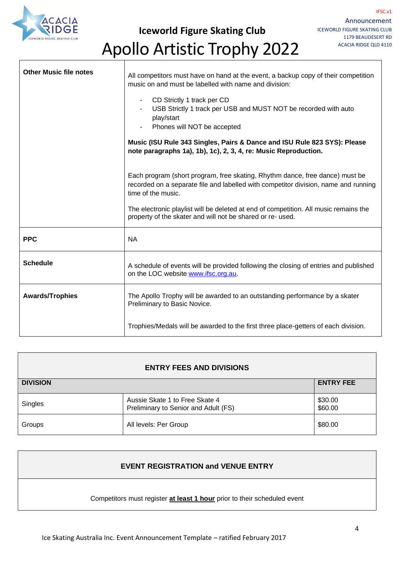

 $\overline{\phantom{a}}$ 

**Iceworld Figure Skating Club**

┑

# Apollo Artistic Trophy 2022

| <b>Other Music file notes</b> | All competitors must have on hand at the event, a backup copy of their competition<br>music on and must be labelled with name and division:<br>CD Strictly 1 track per CD<br>$\blacksquare$<br>USB Strictly 1 track per USB and MUST NOT be recorded with auto<br>play/start<br>Phones will NOT be accepted<br>Music (ISU Rule 343 Singles, Pairs & Dance and ISU Rule 823 SYS): Please<br>note paragraphs 1a), 1b), 1c), 2, 3, 4, re: Music Reproduction.<br>Each program (short program, free skating, Rhythm dance, free dance) must be<br>recorded on a separate file and labelled with competitor division, name and running<br>time of the music. |
|-------------------------------|---------------------------------------------------------------------------------------------------------------------------------------------------------------------------------------------------------------------------------------------------------------------------------------------------------------------------------------------------------------------------------------------------------------------------------------------------------------------------------------------------------------------------------------------------------------------------------------------------------------------------------------------------------|
|                               | The electronic playlist will be deleted at end of competition. All music remains the<br>property of the skater and will not be shared or re- used.                                                                                                                                                                                                                                                                                                                                                                                                                                                                                                      |
| <b>PPC</b>                    | <b>NA</b>                                                                                                                                                                                                                                                                                                                                                                                                                                                                                                                                                                                                                                               |
| <b>Schedule</b>               | A schedule of events will be provided following the closing of entries and published<br>on the LOC website www.ifsc.org.au.                                                                                                                                                                                                                                                                                                                                                                                                                                                                                                                             |
| <b>Awards/Trophies</b>        | The Apollo Trophy will be awarded to an outstanding performance by a skater<br>Preliminary to Basic Novice.                                                                                                                                                                                                                                                                                                                                                                                                                                                                                                                                             |
|                               | Trophies/Medals will be awarded to the first three place-getters of each division.                                                                                                                                                                                                                                                                                                                                                                                                                                                                                                                                                                      |

| <b>ENTRY FEES AND DIVISIONS</b> |                                                                        |                    |  |  |
|---------------------------------|------------------------------------------------------------------------|--------------------|--|--|
| <b>DIVISION</b>                 |                                                                        | <b>ENTRY FEE</b>   |  |  |
| Singles                         | Aussie Skate 1 to Free Skate 4<br>Preliminary to Senior and Adult (FS) | \$30.00<br>\$60.00 |  |  |
| Groups                          | All levels: Per Group                                                  | \$80.00            |  |  |

#### **EVENT REGISTRATION and VENUE ENTRY**

#### Competitors must register **at least 1 hour** prior to their scheduled event